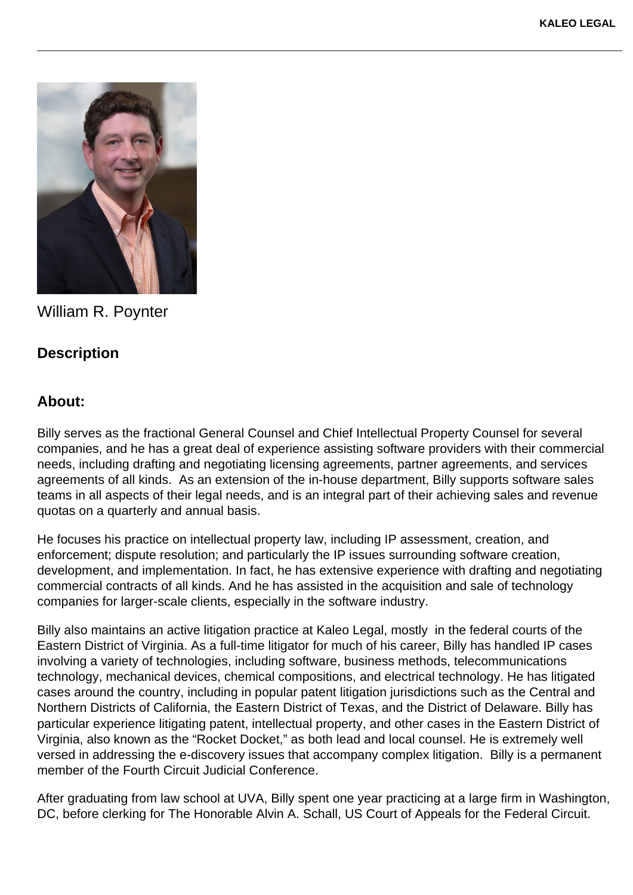

William R. Poynter

## **Description**

## **About:**

Billy serves as the fractional General Counsel and Chief Intellectual Property Counsel for several companies, and he has a great deal of experience assisting software providers with their commercial needs, including drafting and negotiating licensing agreements, partner agreements, and services agreements of all kinds. As an extension of the in-house department, Billy supports software sales teams in all aspects of their legal needs, and is an integral part of their achieving sales and revenue quotas on a quarterly and annual basis.

He focuses his practice on intellectual property law, including IP assessment, creation, and enforcement; dispute resolution; and particularly the IP issues surrounding software creation, development, and implementation. In fact, he has extensive experience with drafting and negotiating commercial contracts of all kinds. And he has assisted in the acquisition and sale of technology companies for larger-scale clients, especially in the software industry.

Billy also maintains an active litigation practice at Kaleo Legal, mostly in the federal courts of the Eastern District of Virginia. As a full-time litigator for much of his career, Billy has handled IP cases involving a variety of technologies, including software, business methods, telecommunications technology, mechanical devices, chemical compositions, and electrical technology. He has litigated cases around the country, including in popular patent litigation jurisdictions such as the Central and Northern Districts of California, the Eastern District of Texas, and the District of Delaware. Billy has particular experience litigating patent, intellectual property, and other cases in the Eastern District of Virginia, also known as the "Rocket Docket," as both lead and local counsel. He is extremely well versed in addressing the e-discovery issues that accompany complex litigation. Billy is a permanent member of the Fourth Circuit Judicial Conference.

After graduating from law school at UVA, Billy spent one year practicing at a large firm in Washington, DC, before clerking for The Honorable Alvin A. Schall, US Court of Appeals for the Federal Circuit.